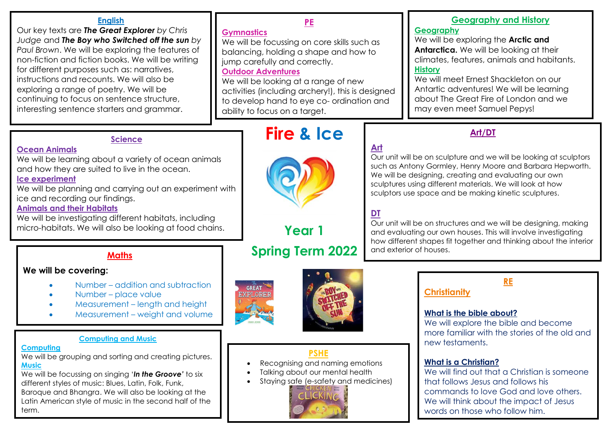#### **English**

Our key texts are *The Great Explorer by Chris Judge* and *The Boy who Switched off the sun by Paul Brown*. We will be exploring the features of non-fiction and fiction books. We will be writing for different purposes such as: narratives, instructions and recounts. We will also be exploring a range of poetry. We will be continuing to focus on sentence structure, interesting sentence starters and grammar.

## **Gymnastics**

We will be focussing on core skills such as balancing, holding a shape and how to jump carefully and correctly.

**PE**

#### **Outdoor Adventures**

We will be looking at a range of new activities (including archery!), this is designed to develop hand to eye co- ordination and ability to focus on a target.

# **Geography and History**

#### **Geography**

We will be exploring the **Arctic and Antarctica.** We will be looking at their climates, features, animals and habitants. **History**

We will meet Ernest Shackleton on our Antartic adventures! We will be learning about The Great Fire of London and we may even meet Samuel Pepys!

#### **Science**

**Ocean Animals**

We will be learning about a variety of ocean animals and how they are suited to live in the ocean.

#### **Ice experiment**

We will be planning and carrying out an experiment with ice and recording our findings.

#### **Animals and their Habitats**

We will be investigating different habitats, including micro-habitats. We will also be looking at food chains.

## **Maths**

#### **We will be covering:**

- Number addition and subtraction
- Number place value
- Measurement length and height
- Measurement weight and volume

#### **Computing and Music**

#### **Computing**

We will be grouping and sorting and creating pictures. **Music**

We will be focussing on singing '*In the Groove'* to six different styles of music: Blues, Latin, Folk, Funk, Baroque and Bhangra. We will also be looking at the Latin American style of music in the second half of the term.

# **GREAT**

**EXPLORE!** 



# **PSHE**

- Recognising and naming emotions
- Talking about our mental health
- Staying safe (e-safety and medicines)



# **Fire** & Ice **Art/DT**

# **Art**

Our unit will be on sculpture and we will be looking at sculptors such as Antony Gormley, Henry Moore and Barbara Hepworth. We will be designing, creating and evaluating our own sculptures using different materials. We will look at how sculptors use space and be making kinetic sculptures.

# **DT**

Our unit will be on structures and we will be designing, making and evaluating our own houses. This will involve investigating how different shapes fit together and thinking about the interior and exterior of houses.

# **Christianity**

#### **What is the bible about?**

We will explore the bible and become more familiar with the stories of the old and new testaments.

**RE**

#### **What is a Christian?**

We will find out that a Christian is someone that follows Jesus and follows his commands to love God and love others. We will think about the impact of Jesus words on those who follow him.



**Year 1**

# **Spring Term 2022**